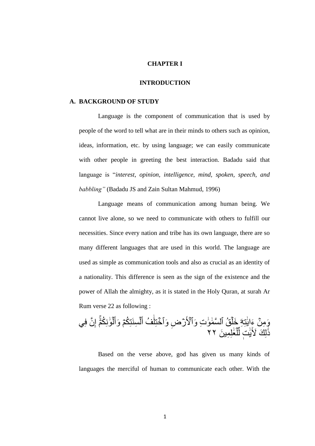## **CHAPTER I**

#### **INTRODUCTION**

#### **A. BACKGROUND OF STUDY**

Language is the component of communication that is used by people of the word to tell what are in their minds to others such as opinion, ideas, information, etc. by using language; we can easily communicate with other people in greeting the best interaction. Badadu said that language is "*interest, opinion, intelligence, mind, spoken, speech, and babbling"* (Badadu JS and Zain Sultan Mahmud, 1996)

Language means of communication among human being. We cannot live alone, so we need to communicate with others to fulfill our necessities. Since every nation and tribe has its own language, there are so many different languages that are used in this world. The language are used as simple as communication tools and also as crucial as an identity of a nationality. This difference is seen as the sign of the existence and the power of Allah the almighty, as it is stated in the Holy Quran, at surah Ar Rum verse 22 as following :

َو ِم ِ ِه ه ت َٰ ُق َء ۦ ايَ ِت َخل َٰ َو َٰ ِض َو ٱل َّس َم ۡلَ ر ُف َو ٱ َٰ ٱ َّن فِي ختِلَ ِ إ ۡۚ ُك م وِ َٰ َو ل َ ُك م َوأ ِسىَتِ ل َ أ لِ ِمي َه َٰ َع ل ِّ ت ل ٖ َٰ يَ لِ َك َۡلٓ َٰ َذ ٢٢

Based on the verse above, god has given us many kinds of languages the merciful of human to communicate each other. With the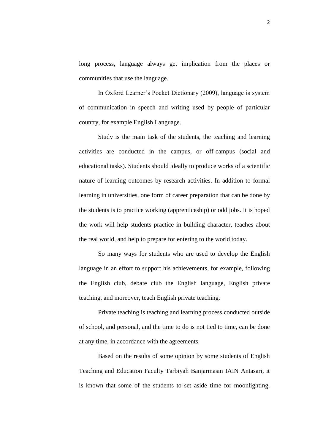long process, language always get implication from the places or communities that use the language.

In Oxford Learner's Pocket Dictionary (2009), language is system of communication in speech and writing used by people of particular country, for example English Language.

Study is the main task of the students, the teaching and learning activities are conducted in the campus, or off-campus (social and educational tasks). Students should ideally to produce works of a scientific nature of learning outcomes by research activities. In addition to formal learning in universities, one form of career preparation that can be done by the students is to practice working (apprenticeship) or odd jobs. It is hoped the work will help students practice in building character, teaches about the real world, and help to prepare for entering to the world today.

So many ways for students who are used to develop the English language in an effort to support his achievements, for example, following the English club, debate club the English language, English private teaching, and moreover, teach English private teaching.

Private teaching is teaching and learning process conducted outside of school, and personal, and the time to do is not tied to time, can be done at any time, in accordance with the agreements.

Based on the results of some opinion by some students of English Teaching and Education Faculty Tarbiyah Banjarmasin IAIN Antasari, it is known that some of the students to set aside time for moonlighting.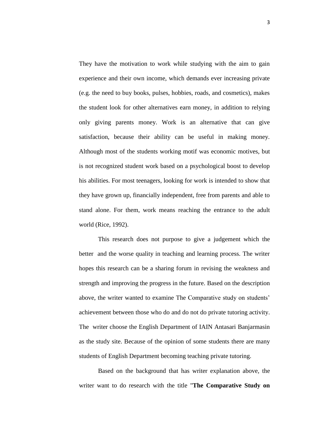They have the motivation to work while studying with the aim to gain experience and their own income, which demands ever increasing private (e.g. the need to buy books, pulses, hobbies, roads, and cosmetics), makes the student look for other alternatives earn money, in addition to relying only giving parents money. Work is an alternative that can give satisfaction, because their ability can be useful in making money. Although most of the students working motif was economic motives, but is not recognized student work based on a psychological boost to develop his abilities. For most teenagers, looking for work is intended to show that they have grown up, financially independent, free from parents and able to stand alone. For them, work means reaching the entrance to the adult world (Rice, 1992).

This research does not purpose to give a judgement which the better and the worse quality in teaching and learning process. The writer hopes this research can be a sharing forum in revising the weakness and strength and improving the progress in the future. Based on the description above, the writer wanted to examine The Comparative study on students' achievement between those who do and do not do private tutoring activity. The writer choose the English Department of IAIN Antasari Banjarmasin as the study site. Because of the opinion of some students there are many students of English Department becoming teaching private tutoring.

Based on the background that has writer explanation above, the writer want to do research with the title "**The Comparative Study on**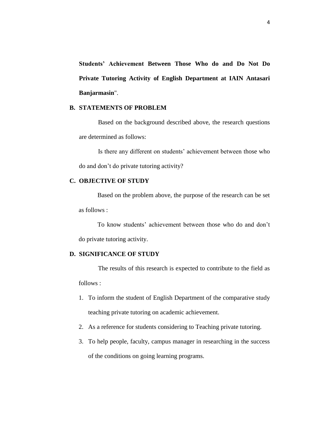**Students' Achievement Between Those Who do and Do Not Do Private Tutoring Activity of English Department at IAIN Antasari Banjarmasin**".

# **B. STATEMENTS OF PROBLEM**

Based on the background described above, the research questions are determined as follows:

Is there any different on students' achievement between those who do and don't do private tutoring activity?

## **C. OBJECTIVE OF STUDY**

Based on the problem above, the purpose of the research can be set as follows :

To know students' achievement between those who do and don't do private tutoring activity.

# **D. SIGNIFICANCE OF STUDY**

The results of this research is expected to contribute to the field as follows :

- 1. To inform the student of English Department of the comparative study teaching private tutoring on academic achievement.
- 2. As a reference for students considering to Teaching private tutoring.
- 3. To help people, faculty, campus manager in researching in the success of the conditions on going learning programs.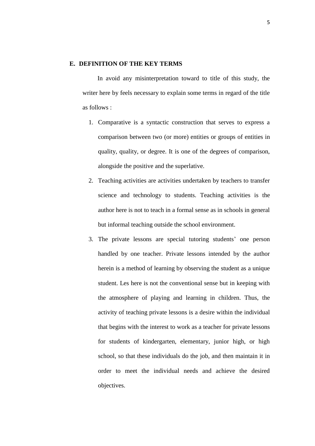### **E. DEFINITION OF THE KEY TERMS**

In avoid any misinterpretation toward to title of this study, the writer here by feels necessary to explain some terms in regard of the title as follows :

- 1. Comparative is a syntactic construction that serves to express a comparison between two (or more) entities or groups of entities in quality, quality, or degree. It is one of the degrees of comparison, alongside the positive and the superlative.
- 2. Teaching activities are activities undertaken by teachers to transfer science and technology to students. Teaching activities is the author here is not to teach in a formal sense as in schools in general but informal teaching outside the school environment.
- 3. The private lessons are special tutoring students' one person handled by one teacher. Private lessons intended by the author herein is a method of learning by observing the student as a unique student. Les here is not the conventional sense but in keeping with the atmosphere of playing and learning in children. Thus, the activity of teaching private lessons is a desire within the individual that begins with the interest to work as a teacher for private lessons for students of kindergarten, elementary, junior high, or high school, so that these individuals do the job, and then maintain it in order to meet the individual needs and achieve the desired objectives.